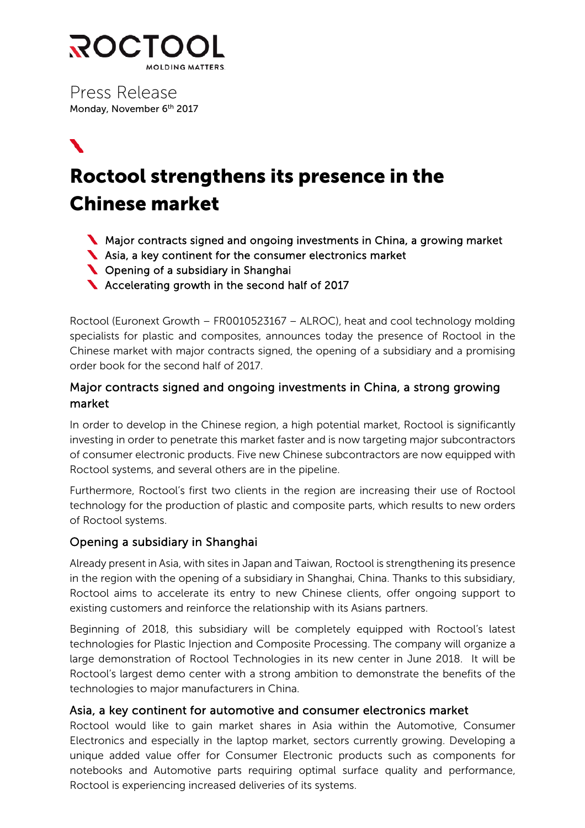

Press Release Monday, November 6<sup>th</sup> 2017

◥

# Roctool strengthens its presence in the Chinese market

- Major contracts signed and ongoing investments in China, a growing market
- Asia, a key continent for the consumer electronics market
- **Commandity Commandiers** Copening of a subsidiary in Shanghai
- Accelerating growth in the second half of 2017

Roctool (Euronext Growth – FR0010523167 – ALROC), heat and cool technology molding specialists for plastic and composites, announces today the presence of Roctool in the Chinese market with major contracts signed, the opening of a subsidiary and a promising order book for the second half of 2017.

## Major contracts signed and ongoing investments in China, a strong growing market

In order to develop in the Chinese region, a high potential market, Roctool is significantly investing in order to penetrate this market faster and is now targeting major subcontractors of consumer electronic products. Five new Chinese subcontractors are now equipped with Roctool systems, and several others are in the pipeline.

Furthermore, Roctool's first two clients in the region are increasing their use of Roctool technology for the production of plastic and composite parts, which results to new orders of Roctool systems.

## Opening a subsidiary in Shanghai

Already present in Asia, with sites in Japan and Taiwan, Roctool is strengthening its presence in the region with the opening of a subsidiary in Shanghai, China. Thanks to this subsidiary, Roctool aims to accelerate its entry to new Chinese clients, offer ongoing support to existing customers and reinforce the relationship with its Asians partners.

Beginning of 2018, this subsidiary will be completely equipped with Roctool's latest technologies for Plastic Injection and Composite Processing. The company will organize a large demonstration of Roctool Technologies in its new center in June 2018. It will be Roctool's largest demo center with a strong ambition to demonstrate the benefits of the technologies to major manufacturers in China.

## Asia, a key continent for automotive and consumer electronics market

Roctool would like to gain market shares in Asia within the Automotive, Consumer Electronics and especially in the laptop market, sectors currently growing. Developing a unique added value offer for Consumer Electronic products such as components for notebooks and Automotive parts requiring optimal surface quality and performance, Roctool is experiencing increased deliveries of its systems.